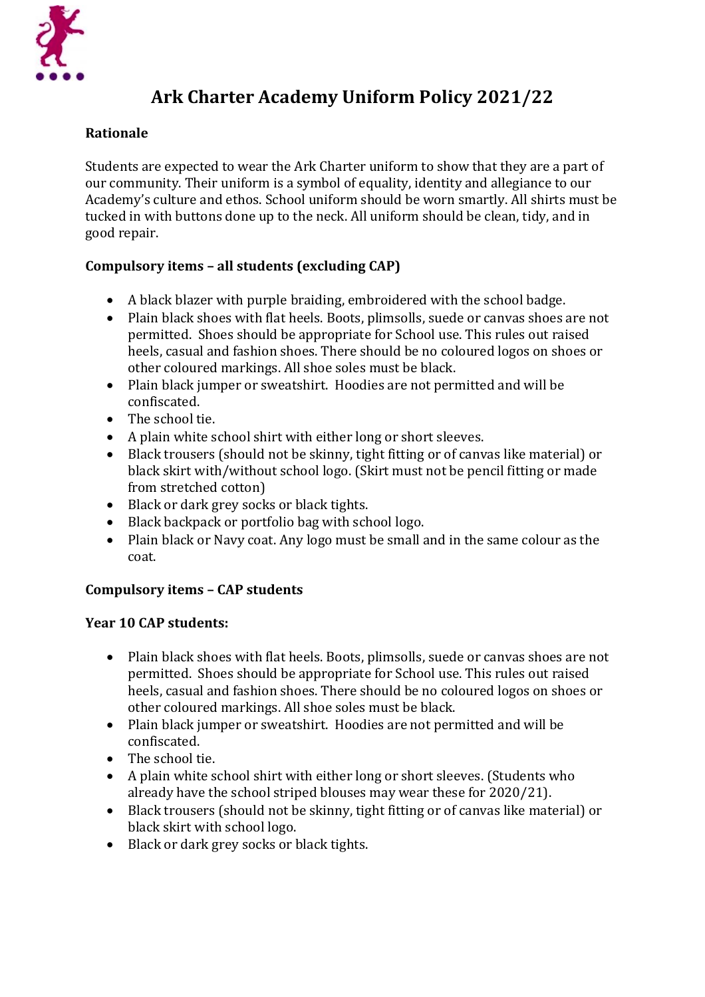

# **Ark Charter Academy Uniform Policy 2021/22**

# **Rationale**

Students are expected to wear the Ark Charter uniform to show that they are a part of our community. Their uniform is a symbol of equality, identity and allegiance to our Academy's culture and ethos. School uniform should be worn smartly. All shirts must be tucked in with buttons done up to the neck. All uniform should be clean, tidy, and in good repair.

# **Compulsory items – all students (excluding CAP)**

- A black blazer with purple braiding, embroidered with the school badge.
- Plain black shoes with flat heels. Boots, plimsolls, suede or canvas shoes are not permitted. Shoes should be appropriate for School use. This rules out raised heels, casual and fashion shoes. There should be no coloured logos on shoes or other coloured markings. All shoe soles must be black.
- Plain black jumper or sweatshirt. Hoodies are not permitted and will be confiscated.
- The school tie.
- A plain white school shirt with either long or short sleeves.
- Black trousers (should not be skinny, tight fitting or of canvas like material) or black skirt with/without school logo. (Skirt must not be pencil fitting or made from stretched cotton)
- Black or dark grey socks or black tights.
- Black backpack or portfolio bag with school logo.
- Plain black or Navy coat. Any logo must be small and in the same colour as the coat.

## **Compulsory items – CAP students**

## **Year 10 CAP students:**

- Plain black shoes with flat heels. Boots, plimsolls, suede or canvas shoes are not permitted. Shoes should be appropriate for School use. This rules out raised heels, casual and fashion shoes. There should be no coloured logos on shoes or other coloured markings. All shoe soles must be black.
- Plain black jumper or sweatshirt. Hoodies are not permitted and will be confiscated.
- The school tie.
- A plain white school shirt with either long or short sleeves. (Students who already have the school striped blouses may wear these for 2020/21).
- Black trousers (should not be skinny, tight fitting or of canvas like material) or black skirt with school logo.
- Black or dark grey socks or black tights.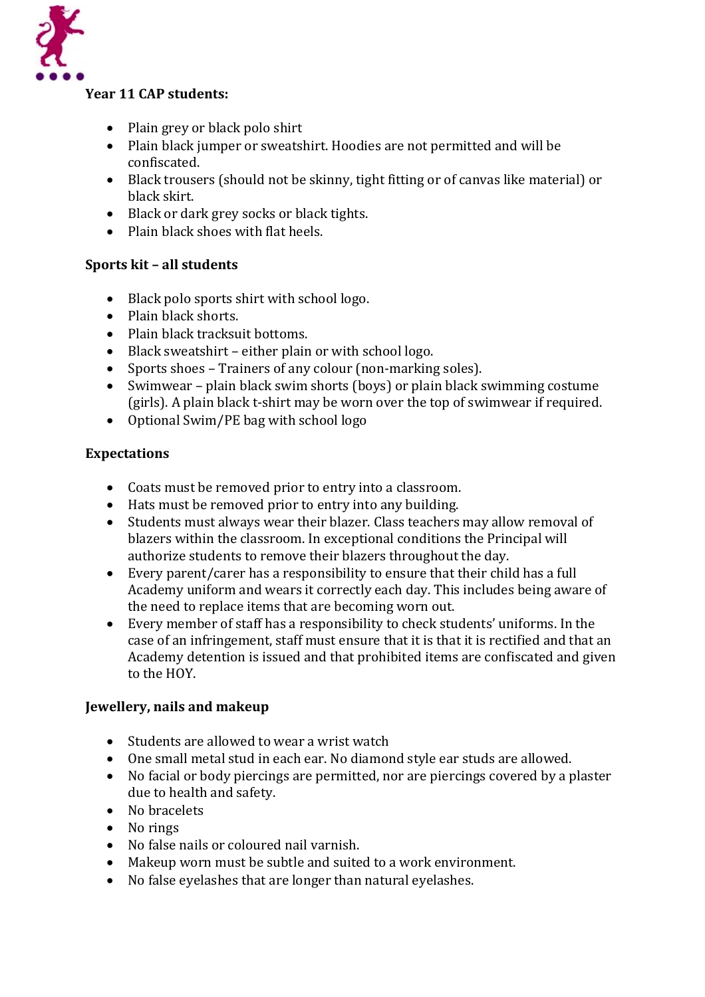

#### **Year 11 CAP students:**

- Plain grey or black polo shirt
- Plain black jumper or sweatshirt. Hoodies are not permitted and will be confiscated.
- Black trousers (should not be skinny, tight fitting or of canvas like material) or black skirt.
- Black or dark grey socks or black tights.
- Plain black shoes with flat heels.

#### **Sports kit – all students**

- Black polo sports shirt with school logo.
- Plain black shorts.
- Plain black tracksuit bottoms.
- Black sweatshirt either plain or with school logo.
- Sports shoes Trainers of any colour (non-marking soles).
- Swimwear plain black swim shorts (boys) or plain black swimming costume (girls). A plain black t-shirt may be worn over the top of swimwear if required.
- Optional Swim/PE bag with school logo

#### **Expectations**

- Coats must be removed prior to entry into a classroom.
- Hats must be removed prior to entry into any building.
- Students must always wear their blazer. Class teachers may allow removal of blazers within the classroom. In exceptional conditions the Principal will authorize students to remove their blazers throughout the day.
- Every parent/carer has a responsibility to ensure that their child has a full Academy uniform and wears it correctly each day. This includes being aware of the need to replace items that are becoming worn out.
- Every member of staff has a responsibility to check students' uniforms. In the case of an infringement, staff must ensure that it is that it is rectified and that an Academy detention is issued and that prohibited items are confiscated and given to the HOY.

#### **Jewellery, nails and makeup**

- Students are allowed to wear a wrist watch
- One small metal stud in each ear. No diamond style ear studs are allowed.
- No facial or body piercings are permitted, nor are piercings covered by a plaster due to health and safety.
- No bracelets
- No rings
- No false nails or coloured nail varnish.
- Makeup worn must be subtle and suited to a work environment.
- No false eyelashes that are longer than natural eyelashes.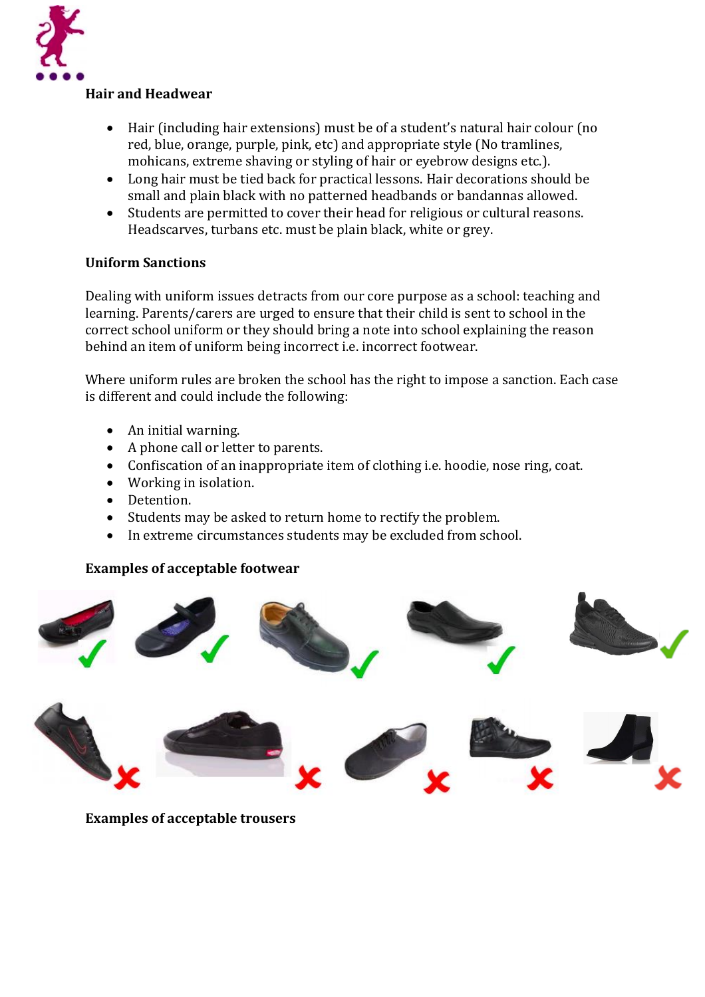

#### **Hair and Headwear**

- Hair (including hair extensions) must be of a student's natural hair colour (no red, blue, orange, purple, pink, etc) and appropriate style (No tramlines, mohicans, extreme shaving or styling of hair or eyebrow designs etc.).
- Long hair must be tied back for practical lessons. Hair decorations should be small and plain black with no patterned headbands or bandannas allowed.
- Students are permitted to cover their head for religious or cultural reasons. Headscarves, turbans etc. must be plain black, white or grey.

#### **Uniform Sanctions**

Dealing with uniform issues detracts from our core purpose as a school: teaching and learning. Parents/carers are urged to ensure that their child is sent to school in the correct school uniform or they should bring a note into school explaining the reason behind an item of uniform being incorrect i.e. incorrect footwear.

Where uniform rules are broken the school has the right to impose a sanction. Each case is different and could include the following:

- An initial warning.
- A phone call or letter to parents.
- Confiscation of an inappropriate item of clothing i.e. hoodie, nose ring, coat.
- Working in isolation.
- Detention.
- Students may be asked to return home to rectify the problem.
- In extreme circumstances students may be excluded from school.

#### **Examples of acceptable footwear**



**Examples of acceptable trousers**